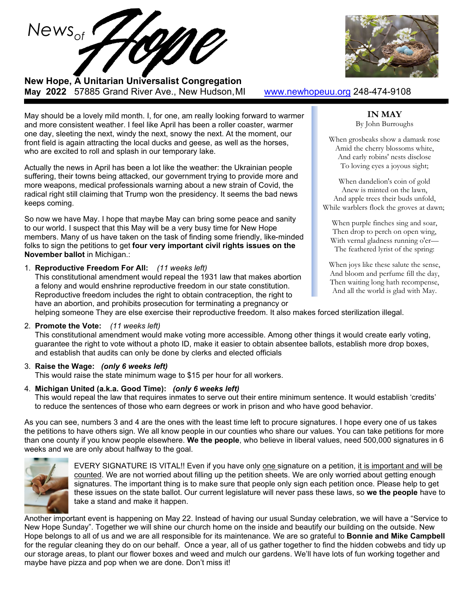



**New Hope, A Unitarian Universalist Congregation May 2022** 57885 Grand River Ave., New Hudson,MI [www.newhopeuu.org](http://www.newhopeuu.org/) 248-474-9108

May should be a lovely mild month. I, for one, am really looking forward to warmer and more consistent weather. I feel like April has been a roller coaster, warmer one day, sleeting the next, windy the next, snowy the next. At the moment, our front field is again attracting the local ducks and geese, as well as the horses, who are excited to roll and splash in our temporary lake.

Actually the news in April has been a lot like the weather: the Ukrainian people suffering, their towns being attacked, our government trying to provide more and more weapons, medical professionals warning about a new strain of Covid, the radical right still claiming that Trump won the presidency. It seems the bad news keeps coming.

So now we have May. I hope that maybe May can bring some peace and sanity to our world. I suspect that this May will be a very busy time for New Hope members. Many of us have taken on the task of finding some friendly, like-minded folks to sign the petitions to get **four very important civil rights issues on the November ballot** in Michigan.:

1. **Reproductive Freedom For All:** *(11 weeks left)*

This constitutional amendment would repeal the 1931 law that makes abortion a felony and would enshrine reproductive freedom in our state constitution. Reproductive freedom includes the right to obtain contraception, the right to have an abortion, and prohibits prosecution for terminating a pregnancy or helping someone They are else exercise their reproductive freedom. It also makes forced sterilization illegal.

### 2. **Promote the Vote:** *(11 weeks left)*

This constitutional amendment would make voting more accessible. Among other things it would create early voting, guarantee the right to vote without a photo ID, make it easier to obtain absentee ballots, establish more drop boxes, and establish that audits can only be done by clerks and elected officials

### 3. **Raise the Wage:** *(only 6 weeks left)*

This would raise the state minimum wage to \$15 per hour for all workers.

### 4. **Michigan United (a.k.a. Good Time):** *(only 6 weeks left)*

This would repeal the law that requires inmates to serve out their entire minimum sentence. It would establish 'credits' to reduce the sentences of those who earn degrees or work in prison and who have good behavior.

As you can see, numbers 3 and 4 are the ones with the least time left to procure signatures. I hope every one of us takes the petitions to have others sign. We all know people in our counties who share our values. You can take petitions for more than one county if you know people elsewhere. **We the people**, who believe in liberal values, need 500,000 signatures in 6 weeks and we are only about halfway to the goal.



EVERY SIGNATURE IS VITAL!! Even if you have only one signature on a petition, it is important and will be counted. We are not worried about filling up the petition sheets. We are only worried about getting enough signatures. The important thing is to make sure that people only sign each petition once. Please help to get these issues on the state ballot. Our current legislature will never pass these laws, so **we the people** have to take a stand and make it happen.

Another important event is happening on May 22. Instead of having our usual Sunday celebration, we will have a "Service to New Hope Sunday". Together we will shine our church home on the inside and beautify our building on the outside. New Hope belongs to all of us and we are all responsible for its maintenance. We are so grateful to **Bonnie and Mike Campbell** for the regular cleaning they do on our behalf. Once a year, all of us gather together to find the hidden cobwebs and tidy up our storage areas, to plant our flower boxes and weed and mulch our gardens. We'll have lots of fun working together and maybe have pizza and pop when we are done. Don't miss it!

## **IN MAY**

By John Burroughs

When grosbeaks show a damask rose Amid the cherry blossoms white, And early robins' nests disclose To loving eyes a joyous sight;

When dandelion's coin of gold Anew is minted on the lawn, And apple trees their buds unfold, While warblers flock the groves at dawn;

When purple finches sing and soar, Then drop to perch on open wing, With vernal gladness running o'er— The feathered lyrist of the spring:

When joys like these salute the sense, And bloom and perfume fill the day, Then waiting long hath recompense, And all the world is glad with May.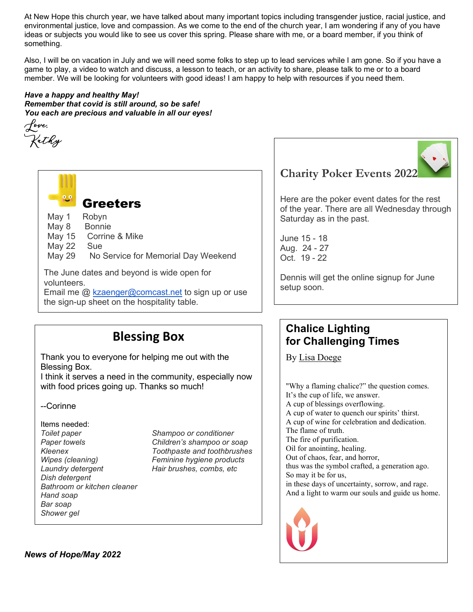At New Hope this church year, we have talked about many important topics including transgender justice, racial justice, and environmental justice, love and compassion. As we come to the end of the church year, I am wondering if any of you have ideas or subjects you would like to see us cover this spring. Please share with me, or a board member, if you think of something.

Also, I will be on vacation in July and we will need some folks to step up to lead services while I am gone. So if you have a game to play, a video to watch and discuss, a lesson to teach, or an activity to share, please talk to me or to a board member. We will be looking for volunteers with good ideas! I am happy to help with resources if you need them.

### *Have a happy and healthy May!*

*Remember that covid is still around, so be safe! You each are precious and valuable in all our eyes!*





Greeters

| May 1 | Robyn         |
|-------|---------------|
| May 8 | <b>Bonnie</b> |

- May 15 Corrine & Mike
- May 22 Sue
- May 29 No Service for Memorial Day Weekend

The June dates and beyond is wide open for volunteers. Email me  $@$  [kzaenger@comcast.net](mailto:kzaenger@comcast.net) to sign up or use the sign-up sheet on the hospitality table.

# **Blessing Box**

Thank you to everyone for helping me out with the Blessing Box.

I think it serves a need in the community, especially now with food prices going up. Thanks so much!

--Corinne

Items needed: *Toilet paper Shampoo or conditioner Wipes (cleaning) Feminine hygiene products Dish detergent Bathroom or kitchen cleaner Hand soap Bar soap Shower gel* 

*Paper towels Children's shampoo or soap Kleenex Toothpaste and toothbrushes Laundry detergent Hair brushes, combs, etc*

# **Charity Poker Events 2022**

Here are the poker event dates for the rest of the year. There are all Wednesday through Saturday as in the past.

June 15 - 18 Aug. 24 - 27 Oct. 19 - 22

Dennis will get the online signup for June setup soon.

# **Chalice Lighting for Challenging Times**

By [Lisa Doege](https://www.uua.org/offices/people/lisa-doege)

"Why a flaming chalice?" the question comes. It's the cup of life, we answer. A cup of blessings overflowing. A cup of water to quench our spirits' thirst. A cup of wine for celebration and dedication. The flame of truth. The fire of purification. Oil for anointing, healing. Out of chaos, fear, and horror, thus was the symbol crafted, a generation ago. So may it be for us, in these days of uncertainty, sorrow, and rage. And a light to warm our souls and guide us home.



*News of Hope/May 2022*